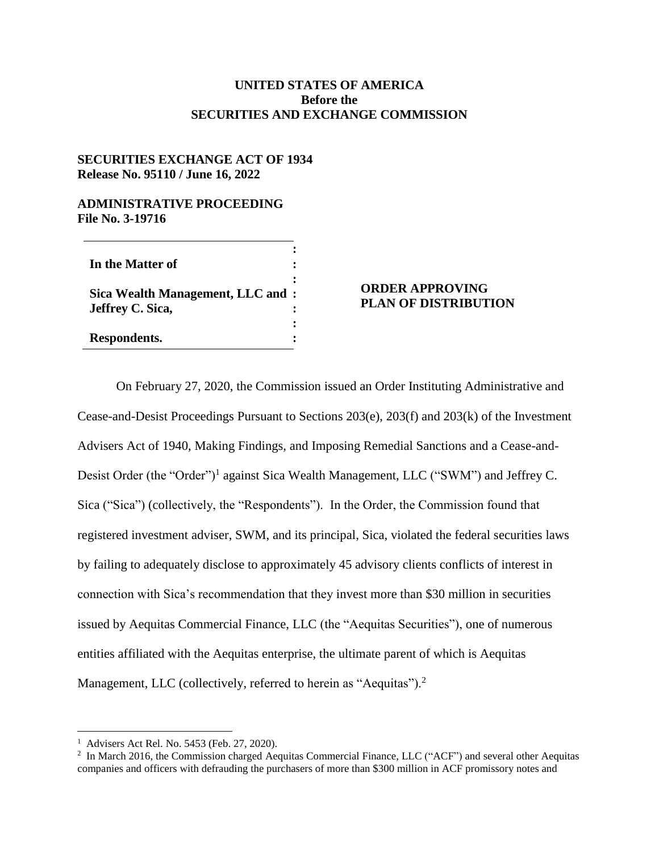## **UNITED STATES OF AMERICA Before the SECURITIES AND EXCHANGE COMMISSION**

## **SECURITIES EXCHANGE ACT OF 1934 Release No. 95110 / June 16, 2022**

## **ADMINISTRATIVE PROCEEDING File No. 3-19716**

| In the Matter of                                     |  |
|------------------------------------------------------|--|
| Sica Wealth Management, LLC and:<br>Jeffrey C. Sica, |  |
| Respondents.                                         |  |

## **ORDER APPROVING PLAN OF DISTRIBUTION**

On February 27, 2020, the Commission issued an Order Instituting Administrative and Cease-and-Desist Proceedings Pursuant to Sections 203(e), 203(f) and 203(k) of the Investment Advisers Act of 1940, Making Findings, and Imposing Remedial Sanctions and a Cease-and-Desist Order (the "Order")<sup>1</sup> against Sica Wealth Management, LLC ("SWM") and Jeffrey C. Sica ("Sica") (collectively, the "Respondents"). In the Order, the Commission found that registered investment adviser, SWM, and its principal, Sica, violated the federal securities laws by failing to adequately disclose to approximately 45 advisory clients conflicts of interest in connection with Sica's recommendation that they invest more than \$30 million in securities issued by Aequitas Commercial Finance, LLC (the "Aequitas Securities"), one of numerous entities affiliated with the Aequitas enterprise, the ultimate parent of which is Aequitas Management, LLC (collectively, referred to herein as "Aequitas").<sup>2</sup>

 $\overline{a}$ 

<sup>1</sup> Advisers Act Rel. No. 5453 (Feb. 27, 2020).

<sup>&</sup>lt;sup>2</sup> In March 2016, the Commission charged Aequitas Commercial Finance, LLC ("ACF") and several other Aequitas companies and officers with defrauding the purchasers of more than \$300 million in ACF promissory notes and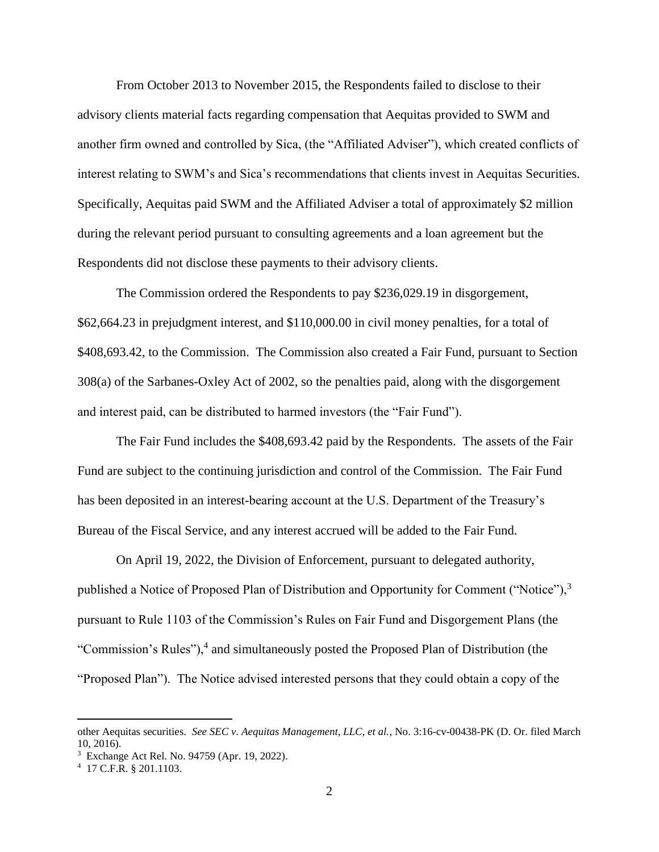From October 2013 to November 2015, the Respondents failed to disclose to their advisory clients material facts regarding compensation that Aequitas provided to SWM and another firm owned and controlled by Sica, (the "Affiliated Adviser"), which created conflicts of interest relating to SWM's and Sica's recommendations that clients invest in Aequitas Securities. Specifically, Aequitas paid SWM and the Affiliated Adviser a total of approximately \$2 million during the relevant period pursuant to consulting agreements and a loan agreement but the Respondents did not disclose these payments to their advisory clients.

The Commission ordered the Respondents to pay \$236,029.19 in disgorgement, \$62,664.23 in prejudgment interest, and \$110,000.00 in civil money penalties, for a total of \$408,693.42, to the Commission. The Commission also created a Fair Fund, pursuant to Section 308(a) of the Sarbanes-Oxley Act of 2002, so the penalties paid, along with the disgorgement and interest paid, can be distributed to harmed investors (the "Fair Fund").

The Fair Fund includes the \$408,693.42 paid by the Respondents. The assets of the Fair Fund are subject to the continuing jurisdiction and control of the Commission. The Fair Fund has been deposited in an interest-bearing account at the U.S. Department of the Treasury's Bureau of the Fiscal Service, and any interest accrued will be added to the Fair Fund.

On April 19, 2022, the Division of Enforcement, pursuant to delegated authority, published a Notice of Proposed Plan of Distribution and Opportunity for Comment ("Notice"),<sup>3</sup> pursuant to Rule 1103 of the Commission's Rules on Fair Fund and Disgorgement Plans (the "Commission's Rules"), $4$  and simultaneously posted the Proposed Plan of Distribution (the "Proposed Plan"). The Notice advised interested persons that they could obtain a copy of the

 $\overline{a}$ 

other Aequitas securities. *See SEC v. Aequitas Management, LLC, et al.*, No. 3:16-cv-00438-PK (D. Or. filed March 10, 2016).

<sup>3</sup> Exchange Act Rel. No. 94759 (Apr. 19, 2022).

<sup>4</sup> 17 C.F.R. § 201.1103.